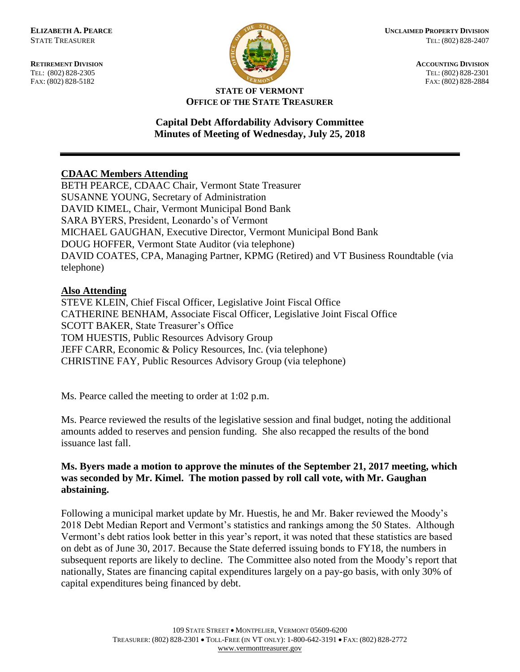FAX: (802) 828-5182



**RETIREMENT DIVISION ACCOUNTING DIVISION** TEL: (802) 828-2305<br>
FAX: (802) 828-2305<br>
FAX: (802) 828-2384<br>
TEL: (802) 828-2305<br>
FAX: (802) 828-2884

#### **STATE OF VERMONT OFFICE OF THE STATE TREASURER**

### **Capital Debt Affordability Advisory Committee Minutes of Meeting of Wednesday, July 25, 2018**

# **CDAAC Members Attending**

BETH PEARCE, CDAAC Chair, Vermont State Treasurer SUSANNE YOUNG, Secretary of Administration DAVID KIMEL, Chair, Vermont Municipal Bond Bank SARA BYERS, President, Leonardo's of Vermont MICHAEL GAUGHAN, Executive Director, Vermont Municipal Bond Bank DOUG HOFFER, Vermont State Auditor (via telephone) DAVID COATES, CPA, Managing Partner, KPMG (Retired) and VT Business Roundtable (via telephone)

# **Also Attending**

STEVE KLEIN, Chief Fiscal Officer, Legislative Joint Fiscal Office CATHERINE BENHAM, Associate Fiscal Officer, Legislative Joint Fiscal Office SCOTT BAKER, State Treasurer's Office TOM HUESTIS, Public Resources Advisory Group JEFF CARR, Economic & Policy Resources, Inc. (via telephone) CHRISTINE FAY, Public Resources Advisory Group (via telephone)

Ms. Pearce called the meeting to order at 1:02 p.m.

Ms. Pearce reviewed the results of the legislative session and final budget, noting the additional amounts added to reserves and pension funding. She also recapped the results of the bond issuance last fall.

# **Ms. Byers made a motion to approve the minutes of the September 21, 2017 meeting, which was seconded by Mr. Kimel. The motion passed by roll call vote, with Mr. Gaughan abstaining.**

Following a municipal market update by Mr. Huestis, he and Mr. Baker reviewed the Moody's 2018 Debt Median Report and Vermont's statistics and rankings among the 50 States. Although Vermont's debt ratios look better in this year's report, it was noted that these statistics are based on debt as of June 30, 2017. Because the State deferred issuing bonds to FY18, the numbers in subsequent reports are likely to decline. The Committee also noted from the Moody's report that nationally, States are financing capital expenditures largely on a pay-go basis, with only 30% of capital expenditures being financed by debt.